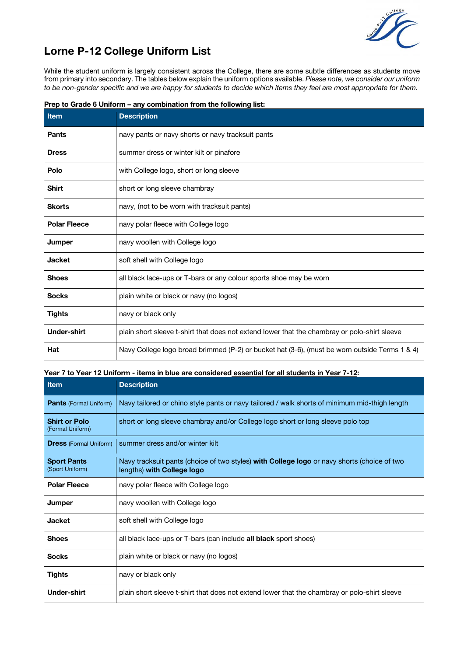

# **Lorne P-12 College Uniform List**

While the student uniform is largely consistent across the College, there are some subtle differences as students move from primary into secondary. The tables below explain the uniform options available. *Please note, we consider our uniform* to be non-gender specific and we are happy for students to decide which items they feel are most appropriate for them.

| <b>Item</b>         | <b>Description</b>                                                                            |
|---------------------|-----------------------------------------------------------------------------------------------|
| <b>Pants</b>        | navy pants or navy shorts or navy tracksuit pants                                             |
| <b>Dress</b>        | summer dress or winter kilt or pinafore                                                       |
| Polo                | with College logo, short or long sleeve                                                       |
| <b>Shirt</b>        | short or long sleeve chambray                                                                 |
| <b>Skorts</b>       | navy, (not to be worn with tracksuit pants)                                                   |
| <b>Polar Fleece</b> | navy polar fleece with College logo                                                           |
| <b>Jumper</b>       | navy woollen with College logo                                                                |
| <b>Jacket</b>       | soft shell with College logo                                                                  |
| <b>Shoes</b>        | all black lace-ups or T-bars or any colour sports shoe may be worn                            |
| <b>Socks</b>        | plain white or black or navy (no logos)                                                       |
| <b>Tights</b>       | navy or black only                                                                            |
| <b>Under-shirt</b>  | plain short sleeve t-shirt that does not extend lower that the chambray or polo-shirt sleeve  |
| Hat                 | Navy College logo broad brimmed (P-2) or bucket hat (3-6), (must be worn outside Terms 1 & 4) |

**Prep to Grade 6 Uniform – any combination from the following list:**

## Year 7 to Year 12 Uniform - items in blue are considered essential for all students in Year 7-12:

| Item                                     | <b>Description</b>                                                                                                               |
|------------------------------------------|----------------------------------------------------------------------------------------------------------------------------------|
| <b>Pants</b> (Formal Uniform)            | Navy tailored or chino style pants or navy tailored / walk shorts of minimum mid-thigh length                                    |
| <b>Shirt or Polo</b><br>(Formal Uniform) | short or long sleeve chambray and/or College logo short or long sleeve polo top                                                  |
| <b>Dress</b> (Formal Uniform)            | summer dress and/or winter kilt                                                                                                  |
| <b>Sport Pants</b><br>(Sport Uniform)    | Navy tracksuit pants (choice of two styles) <b>with College logo</b> or navy shorts (choice of two<br>lengths) with College logo |
| <b>Polar Fleece</b>                      | navy polar fleece with College logo                                                                                              |
| Jumper                                   | navy woollen with College logo                                                                                                   |
| <b>Jacket</b>                            | soft shell with College logo                                                                                                     |
| <b>Shoes</b>                             | all black lace-ups or T-bars (can include <b>all black</b> sport shoes)                                                          |
| <b>Socks</b>                             | plain white or black or navy (no logos)                                                                                          |
| <b>Tights</b>                            | navy or black only                                                                                                               |
| <b>Under-shirt</b>                       | plain short sleeve t-shirt that does not extend lower that the chambray or polo-shirt sleeve                                     |